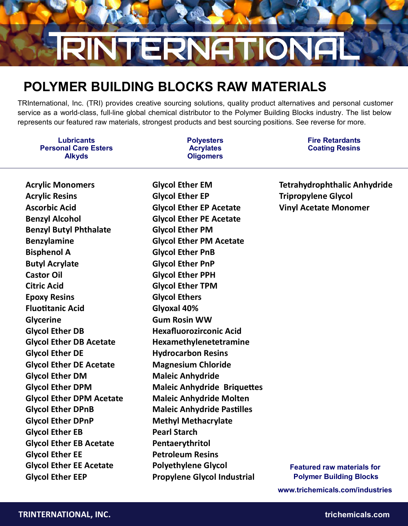# **RINTERNATIONA**

# **POLYMER BUILDING BLOCKS RAW MATERIALS**

TRInternational, Inc. (TRI) provides creative sourcing solutions, quality product alternatives and personal customer service as a world-class, full-line global chemical distributor to the Polymer Building Blocks industry. The list below represents our featured raw materials, strongest products and best sourcing positions. See reverse for more.

**Lubricants Personal Care Esters Alkyds**

**Polyesters Acrylates Oligomers**

**Fire Retardants Coating Resins**

**Acrylic Monomers Acrylic Resins Ascorbic Acid Benzyl Alcohol Benzyl Butyl Phthalate Benzylamine Bisphenol A Butyl Acrylate Castor Oil Citric Acid Epoxy Resins Fluotitanic Acid Glycerine Glycol Ether DB Glycol Ether DB Acetate Glycol Ether DE Glycol Ether DE Acetate Glycol Ether DM Glycol Ether DPM Glycol Ether DPM Acetate Glycol Ether DPnB Glycol Ether DPnP Glycol Ether EB Glycol Ether EB Acetate Glycol Ether EE Glycol Ether EE Acetate Glycol Ether EEP**

**Glycol Ether EM Glycol Ether EP Glycol Ether EP Acetate Glycol Ether PE Acetate Glycol Ether PM Glycol Ether PM Acetate Glycol Ether PnB Glycol Ether PnP Glycol Ether PPH Glycol Ether TPM Glycol Ethers Glyoxal 40% Gum Rosin WW Hexafluorozirconic Acid Hexamethylenetetramine Hydrocarbon Resins Magnesium Chloride Maleic Anhydride Maleic Anhydride Briquettes Maleic Anhydride Molten Maleic Anhydride Pastilles Methyl Methacrylate Pearl Starch Pentaerythritol Petroleum Resins Polyethylene Glycol Propylene Glycol Industrial** 

**Tetrahydrophthalic Anhydride Tripropylene Glycol Vinyl Acetate Monomer** 

**Featured raw materials for Polymer Building Blocks www.trichemicals.com/industries**